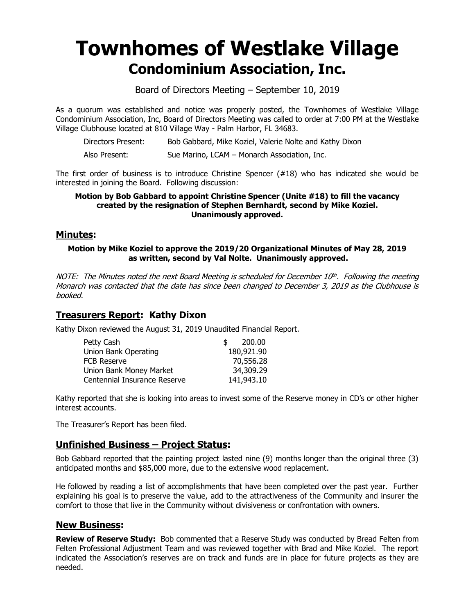# **Townhomes of Westlake Village Condominium Association, Inc.**

Board of Directors Meeting – September 10, 2019

As a quorum was established and notice was properly posted, the Townhomes of Westlake Village Condominium Association, Inc, Board of Directors Meeting was called to order at 7:00 PM at the Westlake Village Clubhouse located at 810 Village Way - Palm Harbor, FL 34683.

| Directors Present: | Bob Gabbard, Mike Koziel, Valerie Nolte and Kathy Dixon |  |  |  |
|--------------------|---------------------------------------------------------|--|--|--|
|                    |                                                         |  |  |  |

Also Present: Sue Marino, LCAM – Monarch Association, Inc.

The first order of business is to introduce Christine Spencer  $(#18)$  who has indicated she would be interested in joining the Board. Following discussion:

#### **Motion by Bob Gabbard to appoint Christine Spencer (Unite #18) to fill the vacancy created by the resignation of Stephen Bernhardt, second by Mike Koziel. Unanimously approved.**

## **Minutes:**

#### **Motion by Mike Koziel to approve the 2019/20 Organizational Minutes of May 28, 2019 as written, second by Val Nolte. Unanimously approved.**

NOTE: The Minutes noted the next Board Meeting is scheduled for December 10th. Following the meeting Monarch was contacted that the date has since been changed to December 3, 2019 as the Clubhouse is booked.

## **Treasurers Report: Kathy Dixon**

Kathy Dixon reviewed the August 31, 2019 Unaudited Financial Report.

| Petty Cash                   | 200.00<br>\$ |
|------------------------------|--------------|
| Union Bank Operating         | 180,921.90   |
| FCB Reserve                  | 70,556.28    |
| Union Bank Money Market      | 34,309.29    |
| Centennial Insurance Reserve | 141,943.10   |

Kathy reported that she is looking into areas to invest some of the Reserve money in CD's or other higher interest accounts.

The Treasurer's Report has been filed.

## **Unfinished Business – Project Status:**

Bob Gabbard reported that the painting project lasted nine (9) months longer than the original three (3) anticipated months and \$85,000 more, due to the extensive wood replacement.

He followed by reading a list of accomplishments that have been completed over the past year. Further explaining his goal is to preserve the value, add to the attractiveness of the Community and insurer the comfort to those that live in the Community without divisiveness or confrontation with owners.

## **New Business:**

**Review of Reserve Study:** Bob commented that a Reserve Study was conducted by Bread Felten from Felten Professional Adjustment Team and was reviewed together with Brad and Mike Koziel. The report indicated the Association's reserves are on track and funds are in place for future projects as they are needed.